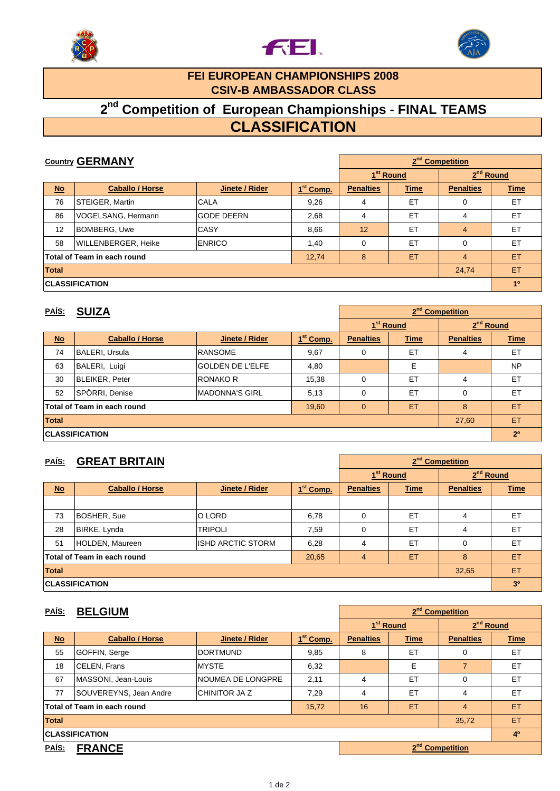





#### **FEI EUROPEAN CHAMPIONSHIPS 2008 CSIV-B AMBASSADOR CLASS**

# **2nd Competition of European Championships - FINAL TEAMS**

## **CLASSIFICATION**

| <b>Country GERMANY</b>                                                   |                        |                   |                       | 2 <sup>nd</sup> Competition |                       |                       |                |
|--------------------------------------------------------------------------|------------------------|-------------------|-----------------------|-----------------------------|-----------------------|-----------------------|----------------|
|                                                                          |                        |                   |                       |                             | 1 <sup>st</sup> Round | 2 <sup>nd</sup> Round |                |
| $No$                                                                     | <b>Caballo / Horse</b> | Jinete / Rider    | 1 <sup>st</sup> Comp. | <b>Penalties</b>            | <b>Time</b>           | <b>Penalties</b>      | <b>Time</b>    |
| 76                                                                       | STEIGER, Martin        | CALA              | 9,26                  | 4                           | ET                    | $\Omega$              | ET             |
| 86                                                                       | VOGELSANG, Hermann     | <b>GODE DEERN</b> | 2,68                  | 4                           | ET                    | 4                     | ET             |
| 12                                                                       | <b>BOMBERG, Uwe</b>    | CASY              | 8,66                  | 12                          | ET                    | $\overline{4}$        | ET             |
| 58                                                                       | WILLENBERGER, Heike    | <b>ENRICO</b>     | 1,40                  | $\mathbf 0$                 | ET                    | $\Omega$              | ET             |
| ET<br>8<br><b>Total of Team in each round</b><br>$\overline{4}$<br>12,74 |                        |                   |                       |                             |                       | ET                    |                |
| <b>Total</b><br>24,74                                                    |                        |                   |                       |                             |                       |                       | ET             |
|                                                                          | <b>CLASSIFICATION</b>  |                   |                       |                             |                       |                       | 1 <sup>0</sup> |

#### **PAÍS: SUIZA**

| PAÍS:                                                           | <b>SUIZA</b>           |                         |                       |                  |                       | 2 <sup>nd</sup> Competition |                       |  |  |
|-----------------------------------------------------------------|------------------------|-------------------------|-----------------------|------------------|-----------------------|-----------------------------|-----------------------|--|--|
|                                                                 |                        |                         |                       |                  | 1 <sup>st</sup> Round |                             | 2 <sup>nd</sup> Round |  |  |
| $No$                                                            | <b>Caballo / Horse</b> | Jinete / Rider          | 1 <sup>st</sup> Comp. | <b>Penalties</b> | <b>Time</b>           | <b>Penalties</b>            | <b>Time</b>           |  |  |
| 74                                                              | <b>BALERI, Ursula</b>  | <b>RANSOME</b>          | 9,67                  | 0                | ET                    | 4                           | ET                    |  |  |
| 63                                                              | BALERI, Luigi          | <b>GOLDEN DE L'ELFE</b> | 4,80                  |                  | Е                     |                             | <b>NP</b>             |  |  |
| 30                                                              | BLEIKER, Peter         | <b>RONAKO R</b>         | 15,38                 | 0                | ET                    | 4                           | ET                    |  |  |
| 52                                                              | SPÖRRI, Denise         | <b>MADONNA'S GIRL</b>   | 5,13                  | 0                | ET                    | 0                           | ET                    |  |  |
| ET<br>8<br>Total of Team in each round<br>$\mathbf{0}$<br>19,60 |                        |                         |                       |                  |                       | ET                          |                       |  |  |
| <b>Total</b><br>27,60                                           |                        |                         |                       |                  |                       |                             | ET                    |  |  |
| <b>CLASSIFICATION</b>                                           |                        |                         |                       |                  |                       |                             | 2 <sup>0</sup>        |  |  |

#### **PAÍS: GREAT BRITAIN No Caballo / Horse Jinete / Rider 1st Comp. Penalties Time Penalties Time** 0 NP 0 NP 0 NP 73 BOSHER, Sue O LORD 6,78 0 ET 4 ET 28 BIRKE, Lynda TRIPOLI 7,59 0 ET 4 ET 51 HOLDEN, Maureen ISHD ARCTIC STORM 6,28 4 ET 0 ET **Total of Team in each round** 20,65 4 ET 8 ET **Total** 32,65 ET **CLASSIFICATION 3º 2nd Competition 1st Round 2<sup>nd</sup> Round**

| <u>PAÍS:</u>                | <b>BELGIUM</b>         |                      |                       |                  |                       | 2 <sup>nd</sup> Competition |             |  |  |  |
|-----------------------------|------------------------|----------------------|-----------------------|------------------|-----------------------|-----------------------------|-------------|--|--|--|
|                             |                        |                      |                       |                  | 1 <sup>st</sup> Round |                             | $2nd$ Round |  |  |  |
| $No$                        | <b>Caballo / Horse</b> | Jinete / Rider       | 1 <sup>st</sup> Comp. | <b>Penalties</b> | <b>Time</b>           | <b>Penalties</b>            | <b>Time</b> |  |  |  |
| 55                          | GOFFIN, Serge          | <b>DORTMUND</b>      | 9,85                  | 8                | ET                    | 0                           | ET          |  |  |  |
| 18                          | CELEN, Frans           | <b>MYSTE</b>         | 6,32                  |                  | E                     | $\overline{7}$              | ET          |  |  |  |
| 67                          | MASSONI, Jean-Louis    | NOUMEA DE LONGPRE    | 2,11                  | 4                | ET                    | $\Omega$                    | ET          |  |  |  |
| 77                          | SOUVEREYNS, Jean Andre | <b>CHINITOR JA Z</b> | 7,29                  | 4                | ET                    | 4                           | ET          |  |  |  |
| Total of Team in each round |                        |                      | 15,72                 | 16               | ET                    | $\overline{4}$              | <b>ET</b>   |  |  |  |
| <b>Total</b><br>35,72       |                        |                      |                       |                  |                       |                             | ET          |  |  |  |
|                             | <b>CLASSIFICATION</b>  |                      |                       |                  |                       | 4 <sup>0</sup>              |             |  |  |  |
| <b>FRANCE</b><br>PAÍS:      |                        |                      |                       |                  |                       | 2 <sup>nd</sup> Competition |             |  |  |  |